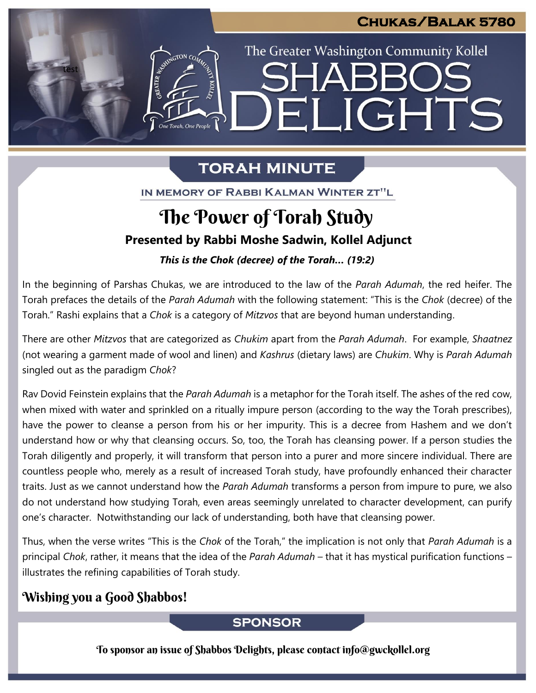## **Chukas/Balak 5780**

The Greater Washington Community Kollel

ELIGHTS

# **TORAH MINUTE**

IN MEMORY OF RABBI KALMAN WINTER ZT"L

# The Power of Torah Study

# **Presented by Rabbi Moshe Sadwin, Kollel Adjunct**

# *This is the Chok (decree) of the Torah... (19:2)*

In the beginning of Parshas Chukas, we are introduced to the law of the *Parah Adumah*, the red heifer. The Torah prefaces the details of the *Parah Adumah* with the following statement: "This is the *Chok* (decree) of the Torah." Rashi explains that a *Chok* is a category of *Mitzvos* that are beyond human understanding.

There are other *Mitzvos* that are categorized as *Chukim* apart from the *Parah Adumah*. For example, *Shaatnez* (not wearing a garment made of wool and linen) and *Kashrus* (dietary laws) are *Chukim*. Why is *Parah Adumah* singled out as the paradigm *Chok*?

Rav Dovid Feinstein explains that the *Parah Adumah* is a metaphor for the Torah itself. The ashes of the red cow, when mixed with water and sprinkled on a ritually impure person (according to the way the Torah prescribes), have the power to cleanse a person from his or her impurity. This is a decree from Hashem and we don't understand how or why that cleansing occurs. So, too, the Torah has cleansing power. If a person studies the Torah diligently and properly, it will transform that person into a purer and more sincere individual. There are countless people who, merely as a result of increased Torah study, have profoundly enhanced their character traits. Just as we cannot understand how the *Parah Adumah* transforms a person from impure to pure, we also do not understand how studying Torah, even areas seemingly unrelated to character development, can purify one's character. Notwithstanding our lack of understanding, both have that cleansing power.

Thus, when the verse writes "This is the *Chok* of the Torah," the implication is not only that *Parah Adumah* is a principal *Chok*, rather, it means that the idea of the *Parah Adumah* – that it has mystical purification functions – illustrates the refining capabilities of Torah study.

### Wishing you a Good Shabbos!

test

### **SPONSOR**

To sponsor an issue of Shabbos Delights, please contact info@gwckollel.org